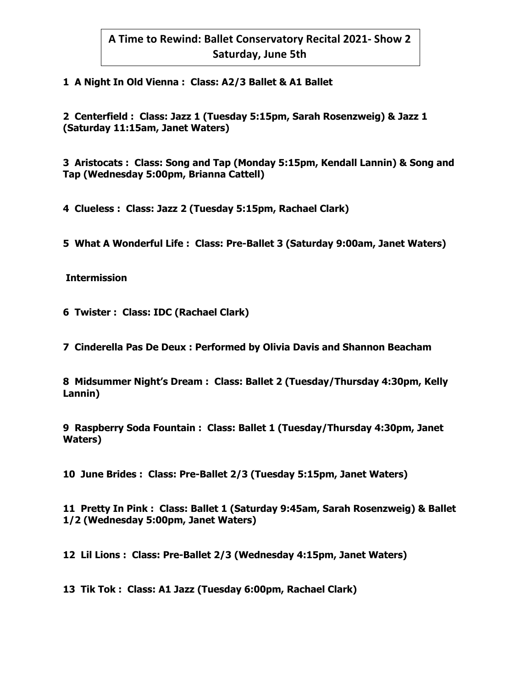## **1 A Night In Old Vienna : Class: A2/3 Ballet & A1 Ballet**

**2 Centerfield : Class: Jazz 1 (Tuesday 5:15pm, Sarah Rosenzweig) & Jazz 1 (Saturday 11:15am, Janet Waters)** 

**3 Aristocats : Class: Song and Tap (Monday 5:15pm, Kendall Lannin) & Song and Tap (Wednesday 5:00pm, Brianna Cattell)** 

**4 Clueless : Class: Jazz 2 (Tuesday 5:15pm, Rachael Clark)**

**5 What A Wonderful Life : Class: Pre-Ballet 3 (Saturday 9:00am, Janet Waters)** 

**Intermission** 

**6 Twister : Class: IDC (Rachael Clark)**

**7 Cinderella Pas De Deux : Performed by Olivia Davis and Shannon Beacham**

**8 Midsummer Night's Dream : Class: Ballet 2 (Tuesday/Thursday 4:30pm, Kelly Lannin)**

**9 Raspberry Soda Fountain : Class: Ballet 1 (Tuesday/Thursday 4:30pm, Janet Waters)** 

**10 June Brides : Class: Pre-Ballet 2/3 (Tuesday 5:15pm, Janet Waters)** 

**11 Pretty In Pink : Class: Ballet 1 (Saturday 9:45am, Sarah Rosenzweig) & Ballet 1/2 (Wednesday 5:00pm, Janet Waters)**

**12 Lil Lions : Class: Pre-Ballet 2/3 (Wednesday 4:15pm, Janet Waters)** 

**13 Tik Tok : Class: A1 Jazz (Tuesday 6:00pm, Rachael Clark)**